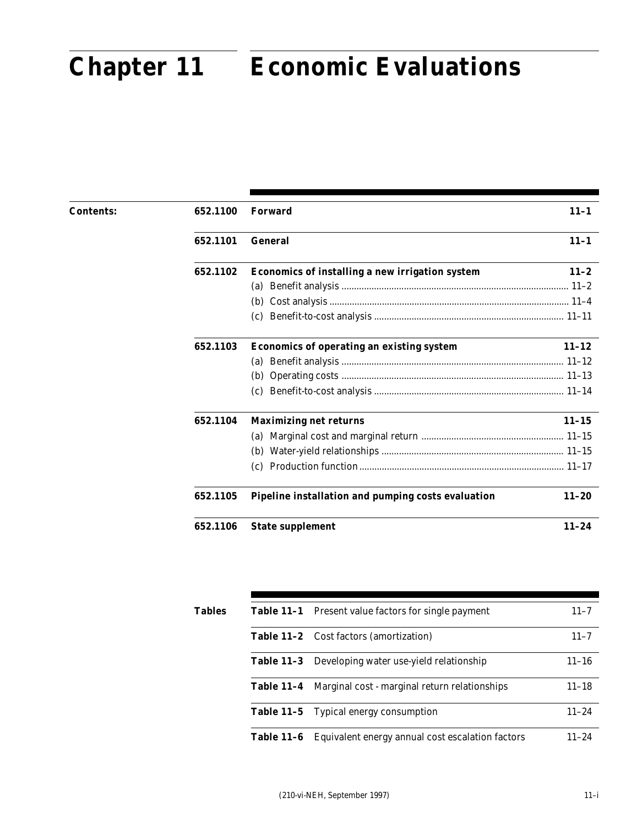# uaud **Chapter 11 Economic Evaluations Chapter 11 Economic Evaluations**

| <b>Contents:</b> | 652.1100 | <b>Forward</b>                                     | $11 - 1$  |
|------------------|----------|----------------------------------------------------|-----------|
|                  | 652.1101 | <b>General</b>                                     | $11 - 1$  |
|                  | 652.1102 | Economics of installing a new irrigation system    | $11 - 2$  |
|                  |          |                                                    |           |
|                  |          | (b)                                                |           |
|                  |          | (c)                                                |           |
|                  | 652.1103 | <b>Economics of operating an existing system</b>   | $11 - 12$ |
|                  |          | (a)                                                |           |
|                  |          | (b)                                                |           |
|                  |          | (c)                                                |           |
|                  | 652.1104 | <b>Maximizing net returns</b>                      | $11 - 15$ |
|                  |          | (a)                                                |           |
|                  |          | (b)                                                |           |
|                  |          | (c)                                                |           |
|                  | 652.1105 | Pipeline installation and pumping costs evaluation | $11 - 20$ |
|                  | 652.1106 | <b>State supplement</b>                            | $11 - 24$ |

| Tables | <b>Table 11-1</b> Present value factors for single payment      | $11 - 7$  |
|--------|-----------------------------------------------------------------|-----------|
|        | Table 11-2 Cost factors (amortization)                          | $11 - 7$  |
|        | <b>Table 11-3</b> Developing water use-yield relationship       | $11 - 16$ |
|        | <b>Table 11–4</b> Marginal cost - marginal return relationships | $11 - 18$ |
|        | <b>Table 11-5</b> Typical energy consumption                    | $11 - 24$ |
|        | Table 11-6 Equivalent energy annual cost escalation factors     | $11 - 24$ |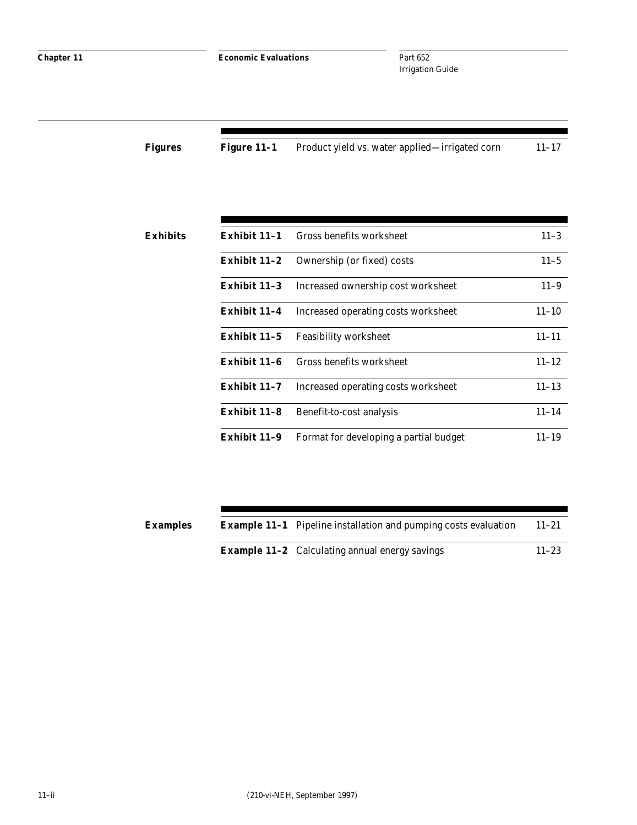**Chapter 11 Economic Evaluations** 

Part 652 Irrigation Guide

| Figures | Figure 11–1 | Product yield vs. water applied—irrigated corn | $11 - 17$ |
|---------|-------------|------------------------------------------------|-----------|
|         |             |                                                |           |

| Exhibits | Exhibit 11-1   | Gross benefits worksheet               | $11 - 3$  |
|----------|----------------|----------------------------------------|-----------|
|          | Exhibit 11–2   | Ownership (or fixed) costs             | $11 - 5$  |
|          | Exhibit $11-3$ | Increased ownership cost worksheet     | $11 - 9$  |
|          | Exhibit 11-4   | Increased operating costs worksheet    | $11 - 10$ |
|          | Exhibit 11-5   | <b>Feasibility worksheet</b>           | $11 - 11$ |
|          | Exhibit 11-6   | Gross benefits worksheet               | $11 - 12$ |
|          | Exhibit 11–7   | Increased operating costs worksheet    | $11 - 13$ |
|          | Exhibit 11-8   | Benefit-to-cost analysis               | $11 - 14$ |
|          | Exhibit 11-9   | Format for developing a partial budget | $11 - 19$ |

| <b>Examples</b> | <b>Example 11-1</b> Pipeline installation and pumping costs evaluation | $11 - 21$ |
|-----------------|------------------------------------------------------------------------|-----------|
|                 | <b>Example 11-2</b> Calculating annual energy savings                  | $11 - 23$ |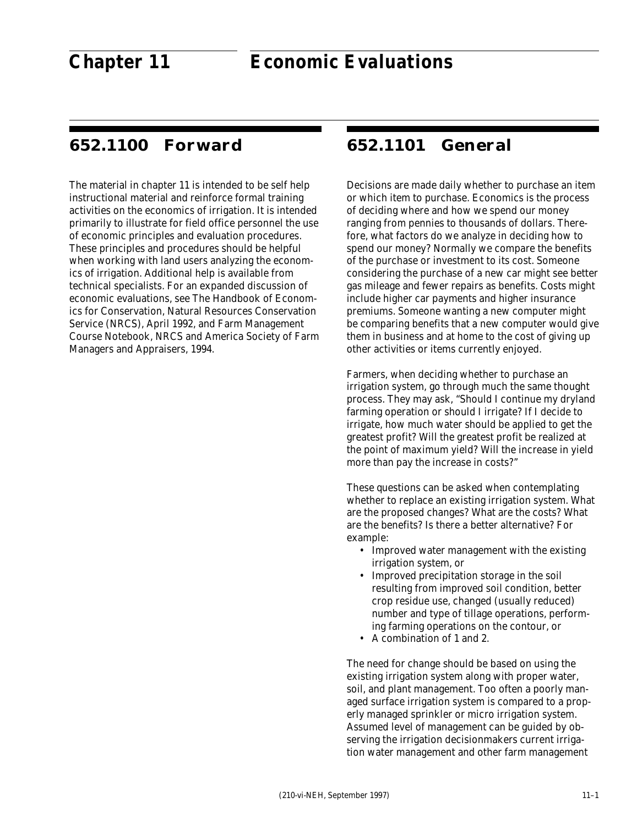# **652.1100 Forward**

The material in chapter 11 is intended to be self help instructional material and reinforce formal training activities on the economics of irrigation. It is intended primarily to illustrate for field office personnel the use of economic principles and evaluation procedures. These principles and procedures should be helpful when working with land users analyzing the economics of irrigation. Additional help is available from technical specialists. For an expanded discussion of economic evaluations, see The Handbook of Economics for Conservation, Natural Resources Conservation Service (NRCS), April 1992, and Farm Management Course Notebook, NRCS and America Society of Farm Managers and Appraisers, 1994.

# **652.1101 General**

Decisions are made daily whether to purchase an item or which item to purchase. Economics is the process of deciding where and how we spend our money ranging from pennies to thousands of dollars. Therefore, what factors do we analyze in deciding how to spend our money? Normally we compare the benefits of the purchase or investment to its cost. Someone considering the purchase of a new car might see better gas mileage and fewer repairs as benefits. Costs might include higher car payments and higher insurance premiums. Someone wanting a new computer might be comparing benefits that a new computer would give them in business and at home to the cost of giving up other activities or items currently enjoyed.

Farmers, when deciding whether to purchase an irrigation system, go through much the same thought process. They may ask, "Should I continue my dryland farming operation or should I irrigate? If I decide to irrigate, how much water should be applied to get the greatest profit? Will the greatest profit be realized at the point of maximum yield? Will the increase in yield more than pay the increase in costs?"

These questions can be asked when contemplating whether to replace an existing irrigation system. What are the proposed changes? What are the costs? What are the benefits? Is there a better alternative? For example:

- Improved water management with the existing irrigation system, or
- Improved precipitation storage in the soil resulting from improved soil condition, better crop residue use, changed (usually reduced) number and type of tillage operations, performing farming operations on the contour, or
- A combination of 1 and 2.

The need for change should be based on using the existing irrigation system along with proper water, soil, and plant management. Too often a poorly managed surface irrigation system is compared to a properly managed sprinkler or micro irrigation system. Assumed level of management can be guided by observing the irrigation decisionmakers current irrigation water management and other farm management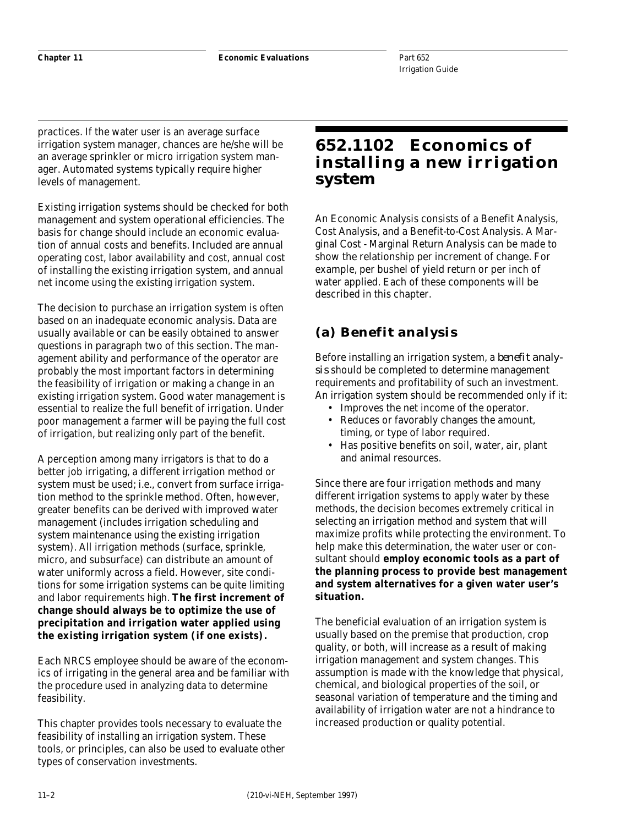practices. If the water user is an average surface irrigation system manager, chances are he/she will be an average sprinkler or micro irrigation system manager. Automated systems typically require higher levels of management.

Existing irrigation systems should be checked for both management and system operational efficiencies. The basis for change should include an economic evaluation of annual costs and benefits. Included are annual operating cost, labor availability and cost, annual cost of installing the existing irrigation system, and annual net income using the existing irrigation system.

The decision to purchase an irrigation system is often based on an inadequate economic analysis. Data are usually available or can be easily obtained to answer questions in paragraph two of this section. The management ability and performance of the operator are probably the most important factors in determining the feasibility of irrigation or making a change in an existing irrigation system. Good water management is essential to realize the full benefit of irrigation. Under poor management a farmer will be paying the full cost of irrigation, but realizing only part of the benefit.

A perception among many irrigators is that to do a better job irrigating, a different irrigation method or system must be used; i.e., convert from surface irrigation method to the sprinkle method. Often, however, greater benefits can be derived with improved water management (includes irrigation scheduling and system maintenance using the existing irrigation system). All irrigation methods (surface, sprinkle, micro, and subsurface) can distribute an amount of water uniformly across a field. However, site conditions for some irrigation systems can be quite limiting and labor requirements high. **The first increment of change should always be to optimize the use of precipitation and irrigation water applied using the existing irrigation system (if one exists).**

Each NRCS employee should be aware of the economics of irrigating in the general area and be familiar with the procedure used in analyzing data to determine feasibility.

This chapter provides tools necessary to evaluate the feasibility of installing an irrigation system. These tools, or principles, can also be used to evaluate other types of conservation investments.

# **652.1102 Economics of installing a new irrigation system**

An Economic Analysis consists of a Benefit Analysis, Cost Analysis, and a Benefit-to-Cost Analysis. A Marginal Cost - Marginal Return Analysis can be made to show the relationship per increment of change. For example, per bushel of yield return or per inch of water applied. Each of these components will be described in this chapter.

# **(a) Benefit analysis**

Before installing an irrigation system, a *benefit analysis* should be completed to determine management requirements and profitability of such an investment. An irrigation system should be recommended only if it:

- Improves the net income of the operator.
- Reduces or favorably changes the amount, timing, or type of labor required.
- Has positive benefits on soil, water, air, plant and animal resources.

Since there are four irrigation methods and many different irrigation systems to apply water by these methods, the decision becomes extremely critical in selecting an irrigation method and system that will maximize profits while protecting the environment. To help make this determination, the water user or consultant should **employ economic tools as a part of the planning process to provide best management and system alternatives for a given water user's situation.**

The beneficial evaluation of an irrigation system is usually based on the premise that production, crop quality, or both, will increase as a result of making irrigation management and system changes. This assumption is made with the knowledge that physical, chemical, and biological properties of the soil, or seasonal variation of temperature and the timing and availability of irrigation water are not a hindrance to increased production or quality potential.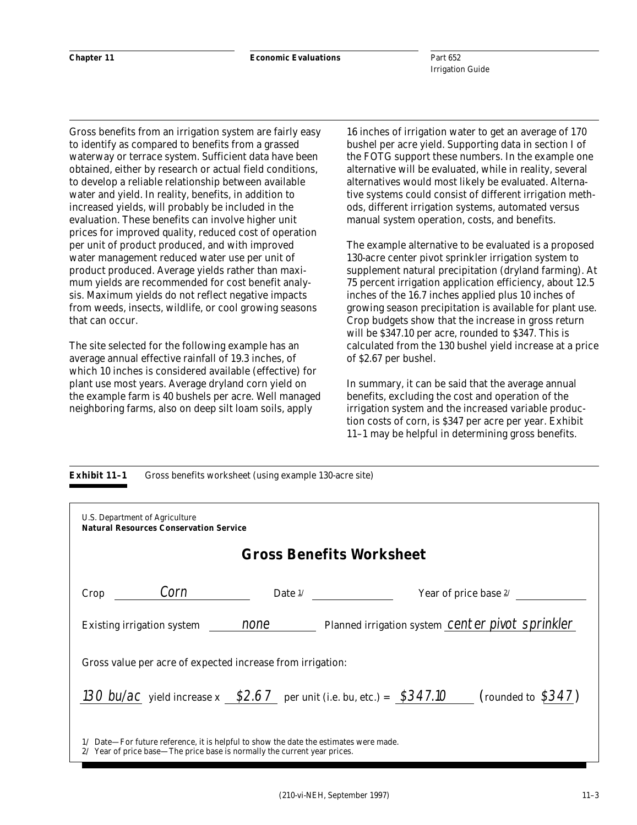Gross benefits from an irrigation system are fairly easy to identify as compared to benefits from a grassed waterway or terrace system. Sufficient data have been obtained, either by research or actual field conditions, to develop a reliable relationship between available water and yield. In reality, benefits, in addition to increased yields, will probably be included in the evaluation. These benefits can involve higher unit prices for improved quality, reduced cost of operation per unit of product produced, and with improved water management reduced water use per unit of product produced. Average yields rather than maximum yields are recommended for cost benefit analysis. Maximum yields do not reflect negative impacts from weeds, insects, wildlife, or cool growing seasons that can occur.

The site selected for the following example has an average annual effective rainfall of 19.3 inches, of which 10 inches is considered available (effective) for plant use most years. Average dryland corn yield on the example farm is 40 bushels per acre. Well managed neighboring farms, also on deep silt loam soils, apply

16 inches of irrigation water to get an average of 170 bushel per acre yield. Supporting data in section I of the FOTG support these numbers. In the example one alternative will be evaluated, while in reality, several alternatives would most likely be evaluated. Alternative systems could consist of different irrigation methods, different irrigation systems, automated versus manual system operation, costs, and benefits.

The example alternative to be evaluated is a proposed 130-acre center pivot sprinkler irrigation system to supplement natural precipitation (dryland farming). At 75 percent irrigation application efficiency, about 12.5 inches of the 16.7 inches applied plus 10 inches of growing season precipitation is available for plant use. Crop budgets show that the increase in gross return will be \$347.10 per acre, rounded to \$347. This is calculated from the 130 bushel yield increase at a price of \$2.67 per bushel.

In summary, it can be said that the average annual benefits, excluding the cost and operation of the irrigation system and the increased variable production costs of corn, is \$347 per acre per year. Exhibit 11–1 may be helpful in determining gross benefits.

## **Exhibit 11–1** Gross benefits worksheet (using example 130-acre site)

| U.S. Department of Agriculture<br><b>Natural Resources Conservation Service</b>                                                                                    |                                                                                                 |
|--------------------------------------------------------------------------------------------------------------------------------------------------------------------|-------------------------------------------------------------------------------------------------|
|                                                                                                                                                                    | <b>Gross Benefits Worksheet</b>                                                                 |
| Corn<br>Crop                                                                                                                                                       | Date $\frac{1}{2}$<br>Year of price base $2/$                                                   |
| Existing irrigation system mone                                                                                                                                    | Planned irrigation system Center pivot sprinkler                                                |
| Gross value per acre of expected increase from irrigation:                                                                                                         |                                                                                                 |
|                                                                                                                                                                    | 130 bu/ac yield increase $x$ \$2.67 per unit (i.e. bu, etc.) = \$347.10<br>(rounded to $$347$ ) |
| 1/ Date—For future reference, it is helpful to show the date the estimates were made.<br>2/ Year of price base—The price base is normally the current year prices. |                                                                                                 |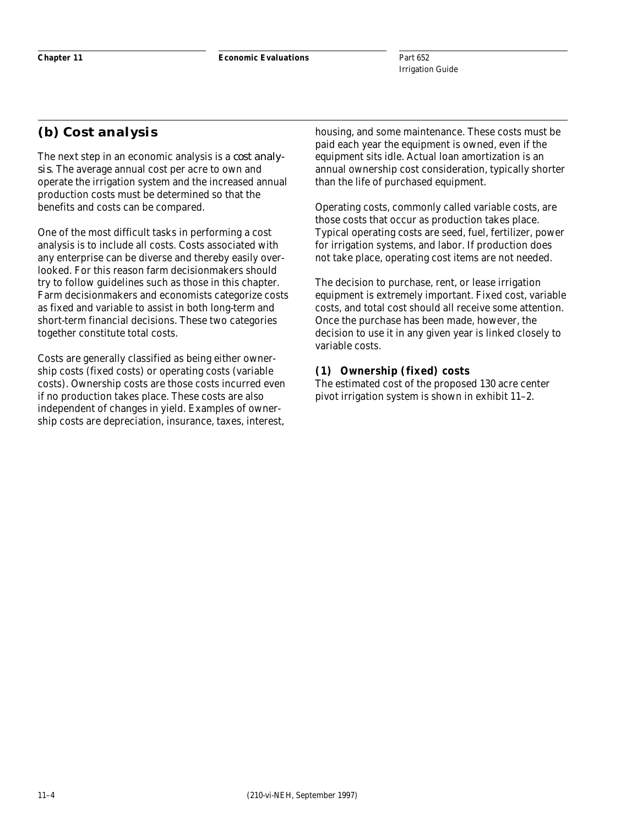# **(b) Cost analysis**

The next step in an economic analysis is a *cost analysis*. The average annual cost per acre to own and operate the irrigation system and the increased annual production costs must be determined so that the benefits and costs can be compared.

One of the most difficult tasks in performing a cost analysis is to include all costs. Costs associated with any enterprise can be diverse and thereby easily overlooked. For this reason farm decisionmakers should try to follow guidelines such as those in this chapter. Farm decisionmakers and economists categorize costs as fixed and variable to assist in both long-term and short-term financial decisions. These two categories together constitute total costs.

Costs are generally classified as being either ownership costs (fixed costs) or operating costs (variable costs). Ownership costs are those costs incurred even if no production takes place. These costs are also independent of changes in yield. Examples of ownership costs are depreciation, insurance, taxes, interest,

housing, and some maintenance. These costs must be paid each year the equipment is owned, even if the equipment sits idle. Actual loan amortization is an annual ownership cost consideration, typically shorter than the life of purchased equipment.

Operating costs, commonly called variable costs, are those costs that occur as production takes place. Typical operating costs are seed, fuel, fertilizer, power for irrigation systems, and labor. If production does not take place, operating cost items are not needed.

The decision to purchase, rent, or lease irrigation equipment is extremely important. Fixed cost, variable costs, and total cost should all receive some attention. Once the purchase has been made, however, the decision to use it in any given year is linked closely to variable costs.

# **(1) Ownership (fixed) costs**

The estimated cost of the proposed 130 acre center pivot irrigation system is shown in exhibit 11–2.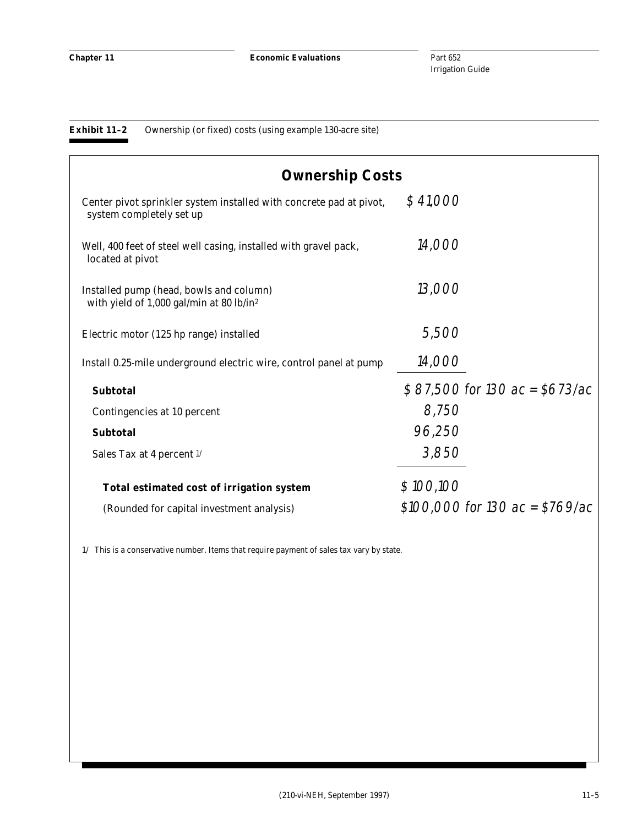## **Exhibit 11–2** Ownership (or fixed) costs (using example 130-acre site)

| <b>Ownership Costs</b>                                                                          |                                     |
|-------------------------------------------------------------------------------------------------|-------------------------------------|
| Center pivot sprinkler system installed with concrete pad at pivot,<br>system completely set up | \$41,000                            |
| Well, 400 feet of steel well casing, installed with gravel pack,<br>located at pivot            | 14,000                              |
| Installed pump (head, bowls and column)<br>with yield of 1,000 gal/min at 80 lb/in <sup>2</sup> | 13,000                              |
| Electric motor (125 hp range) installed                                                         | 5,500                               |
| Install 0.25-mile underground electric wire, control panel at pump                              | 14,000                              |
| <b>Subtotal</b>                                                                                 | $$87,500$ for 130 ac = \$673/ac     |
| Contingencies at 10 percent                                                                     | 8,750                               |
| <b>Subtotal</b>                                                                                 | 96,250                              |
| Sales Tax at 4 percent $\frac{1}{2}$                                                            | 3,850                               |
| Total estimated cost of irrigation system                                                       | \$100,100                           |
| (Rounded for capital investment analysis)                                                       | $$100,000$ for $130$ ac = $$769/ac$ |

 $1\prime\,$  This is a conservative number. Items that require payment of sales tax vary by state.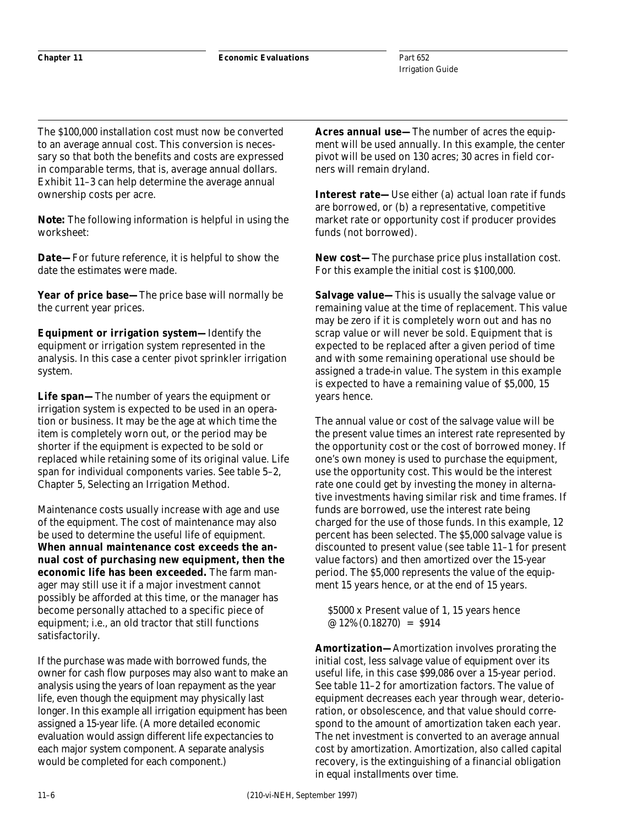The \$100,000 installation cost must now be converted to an average annual cost. This conversion is necessary so that both the benefits and costs are expressed in comparable terms, that is, average annual dollars. Exhibit 11–3 can help determine the average annual ownership costs per acre.

*Note:* The following information is helpful in using the worksheet:

**Date—**For future reference, it is helpful to show the date the estimates were made.

**Year of price base—**The price base will normally be the current year prices.

**Equipment or irrigation system—**Identify the equipment or irrigation system represented in the analysis. In this case a center pivot sprinkler irrigation system.

**Life span—**The number of years the equipment or irrigation system is expected to be used in an operation or business. It may be the age at which time the item is completely worn out, or the period may be shorter if the equipment is expected to be sold or replaced while retaining some of its original value. Life span for individual components varies. See table 5–2, Chapter 5, Selecting an Irrigation Method.

Maintenance costs usually increase with age and use of the equipment. The cost of maintenance may also be used to determine the useful life of equipment. **When annual maintenance cost exceeds the annual cost of purchasing new equipment, then the economic life has been exceeded.** The farm manager may still use it if a major investment cannot possibly be afforded at this time, or the manager has become personally attached to a specific piece of equipment; i.e., an old tractor that still functions satisfactorily.

If the purchase was made with borrowed funds, the owner for cash flow purposes may also want to make an analysis using the years of loan repayment as the year life, even though the equipment may physically last longer. In this example all irrigation equipment has been assigned a 15-year life. (A more detailed economic evaluation would assign different life expectancies to each major system component. A separate analysis would be completed for each component.)

**Acres annual use—**The number of acres the equipment will be used annually. In this example, the center pivot will be used on 130 acres; 30 acres in field corners will remain dryland.

**Interest rate—**Use either (a) actual loan rate if funds are borrowed, or (b) a representative, competitive market rate or opportunity cost if producer provides funds (not borrowed).

**New cost—**The purchase price plus installation cost. For this example the initial cost is \$100,000.

**Salvage value—**This is usually the salvage value or remaining value at the time of replacement. This value may be zero if it is completely worn out and has no scrap value or will never be sold. Equipment that is expected to be replaced after a given period of time and with some remaining operational use should be assigned a trade-in value. The system in this example is expected to have a remaining value of \$5,000, 15 years hence.

The annual value or cost of the salvage value will be the present value times an interest rate represented by the opportunity cost or the cost of borrowed money. If one's own money is used to purchase the equipment, use the opportunity cost. This would be the interest rate one could get by investing the money in alternative investments having similar risk and time frames. If funds are borrowed, use the interest rate being charged for the use of those funds. In this example, 12 percent has been selected. The \$5,000 salvage value is discounted to present value (see table 11–1 for present value factors) and then amortized over the 15-year period. The \$5,000 represents the value of the equipment 15 years hence, or at the end of 15 years.

\$5000 x Present value of 1, 15 years hence  $@12\% (0.18270) = $914$ 

**Amortization—**Amortization involves prorating the initial cost, less salvage value of equipment over its useful life, in this case \$99,086 over a 15-year period. See table 11–2 for amortization factors. The value of equipment decreases each year through wear, deterioration, or obsolescence, and that value should correspond to the amount of amortization taken each year. The net investment is converted to an average annual cost by amortization. Amortization, also called capital recovery, is the extinguishing of a financial obligation in equal installments over time.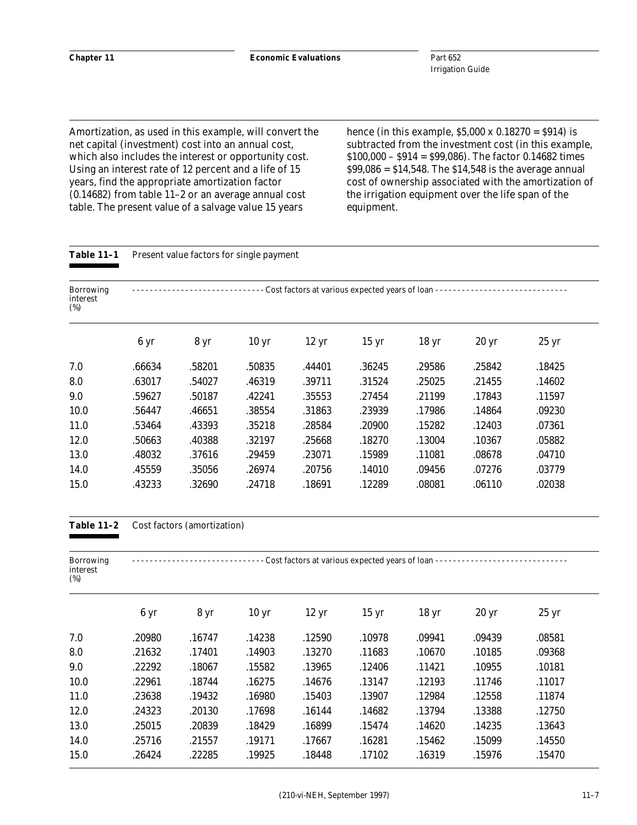Amortization, as used in this example, will convert the net capital (investment) cost into an annual cost, which also includes the interest or opportunity cost. Using an interest rate of 12 percent and a life of 15 years, find the appropriate amortization factor (0.14682) from table 11–2 or an average annual cost table. The present value of a salvage value 15 years

hence (in this example,  $$5,000 \times 0.18270 = $914$ ) is subtracted from the investment cost (in this example, \$100,000 – \$914 = \$99,086). The factor 0.14682 times  $$99,086 = $14,548$ . The \$14,548 is the average annual cost of ownership associated with the amortization of the irrigation equipment over the life span of the equipment.

Table 11-1 Present value factors for single payment

| <b>Borrowing</b><br>interest<br>$(\%)$ |                |        |                  |                 | Cost factors at various expected years of loan - |                  |                  |                  |
|----------------------------------------|----------------|--------|------------------|-----------------|--------------------------------------------------|------------------|------------------|------------------|
|                                        | $6 \text{ yr}$ | 8 yr   | 10 <sub>yr</sub> | $12 \text{ yr}$ | $15 \text{ yr}$                                  | 18 <sub>yr</sub> | 20 <sub>yr</sub> | 25 <sub>yr</sub> |
| 7.0                                    | .66634         | .58201 | .50835           | .44401          | .36245                                           | .29586           | .25842           | .18425           |
| 8.0                                    | .63017         | .54027 | .46319           | .39711          | .31524                                           | .25025           | .21455           | .14602           |
| 9.0                                    | .59627         | .50187 | .42241           | .35553          | .27454                                           | .21199           | .17843           | .11597           |
| 10.0                                   | .56447         | .46651 | .38554           | .31863          | .23939                                           | .17986           | .14864           | .09230           |
| 11.0                                   | .53464         | .43393 | .35218           | .28584          | .20900                                           | .15282           | .12403           | .07361           |
| 12.0                                   | .50663         | .40388 | .32197           | .25668          | .18270                                           | .13004           | .10367           | .05882           |
| 13.0                                   | .48032         | .37616 | .29459           | .23071          | .15989                                           | .11081           | .08678           | .04710           |
| 14.0                                   | .45559         | .35056 | .26974           | .20756          | .14010                                           | .09456           | .07276           | .03779           |
| 15.0                                   | .43233         | .32690 | .24718           | .18691          | .12289                                           | .08081           | .06110           | .02038           |

## **Table 11–2** Cost factors (amortization)

| <b>Borrowing</b><br>interest<br>$(\%)$ |                |                   |                  | Cost factors at various expected years of loan - |                  |                  |                  |                  |
|----------------------------------------|----------------|-------------------|------------------|--------------------------------------------------|------------------|------------------|------------------|------------------|
|                                        | $6 \text{ yr}$ | $8 \,\mathrm{yr}$ | 10 <sub>yr</sub> | $12 \text{ yr}$                                  | 15 <sub>yr</sub> | 18 <sub>yr</sub> | 20 <sub>yr</sub> | 25 <sub>yr</sub> |
| 7.0                                    | .20980         | .16747            | .14238           | .12590                                           | .10978           | .09941           | .09439           | .08581           |
| 8.0                                    | .21632         | .17401            | .14903           | .13270                                           | .11683           | .10670           | .10185           | .09368           |
| 9.0                                    | .22292         | .18067            | .15582           | .13965                                           | .12406           | .11421           | .10955           | .10181           |
| 10.0                                   | .22961         | .18744            | .16275           | .14676                                           | .13147           | .12193           | .11746           | .11017           |
| 11.0                                   | .23638         | .19432            | .16980           | .15403                                           | .13907           | .12984           | .12558           | .11874           |
| 12.0                                   | .24323         | .20130            | .17698           | .16144                                           | .14682           | .13794           | .13388           | .12750           |
| 13.0                                   | .25015         | .20839            | .18429           | .16899                                           | .15474           | .14620           | .14235           | .13643           |
| 14.0                                   | .25716         | .21557            | .19171           | .17667                                           | .16281           | .15462           | .15099           | .14550           |
| 15.0                                   | .26424         | .22285            | .19925           | .18448                                           | .17102           | .16319           | .15976           | .15470           |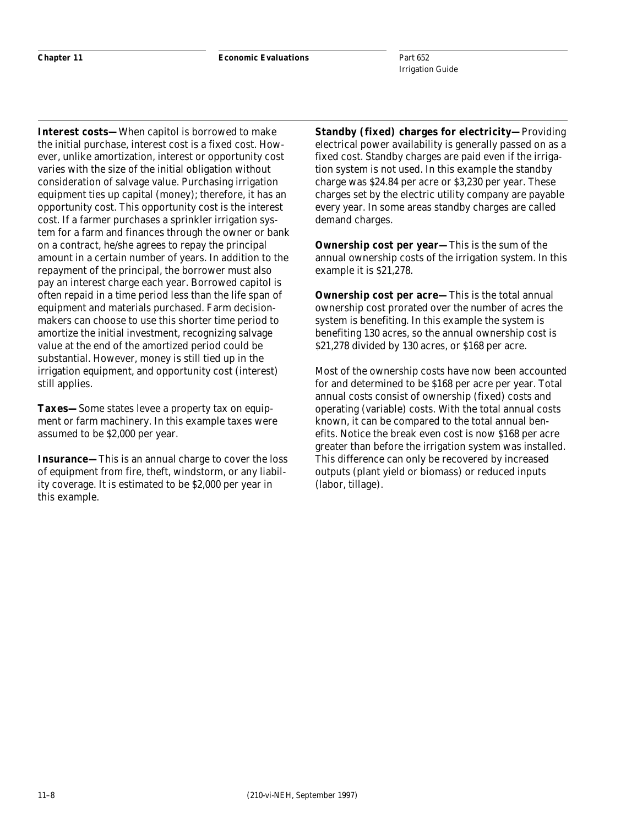**Chapter 11 Economic Evaluations**

Part 652 Irrigation Guide

**Interest costs—**When capitol is borrowed to make the initial purchase, interest cost is a fixed cost. However, unlike amortization, interest or opportunity cost varies with the size of the initial obligation without consideration of salvage value. Purchasing irrigation equipment ties up capital (money); therefore, it has an opportunity cost. This opportunity cost is the interest cost. If a farmer purchases a sprinkler irrigation system for a farm and finances through the owner or bank on a contract, he/she agrees to repay the principal amount in a certain number of years. In addition to the repayment of the principal, the borrower must also pay an interest charge each year. Borrowed capitol is often repaid in a time period less than the life span of equipment and materials purchased. Farm decisionmakers can choose to use this shorter time period to amortize the initial investment, recognizing salvage value at the end of the amortized period could be substantial. However, money is still tied up in the irrigation equipment, and opportunity cost (interest) still applies.

**Taxes—**Some states levee a property tax on equipment or farm machinery. In this example taxes were assumed to be \$2,000 per year.

**Insurance—**This is an annual charge to cover the loss of equipment from fire, theft, windstorm, or any liability coverage. It is estimated to be \$2,000 per year in this example.

**Standby (fixed) charges for electricity—**Providing electrical power availability is generally passed on as a fixed cost. Standby charges are paid even if the irrigation system is not used. In this example the standby charge was \$24.84 per acre or \$3,230 per year. These charges set by the electric utility company are payable every year. In some areas standby charges are called demand charges.

**Ownership cost per year—**This is the sum of the annual ownership costs of the irrigation system. In this example it is \$21,278.

**Ownership cost per acre—This is the total annual** ownership cost prorated over the number of acres the system is benefiting. In this example the system is benefiting 130 acres, so the annual ownership cost is \$21,278 divided by 130 acres, or \$168 per acre.

Most of the ownership costs have now been accounted for and determined to be \$168 per acre per year. Total annual costs consist of ownership (fixed) costs and operating (variable) costs. With the total annual costs known, it can be compared to the total annual benefits. Notice the break even cost is now \$168 per acre greater than before the irrigation system was installed. This difference can only be recovered by increased outputs (plant yield or biomass) or reduced inputs (labor, tillage).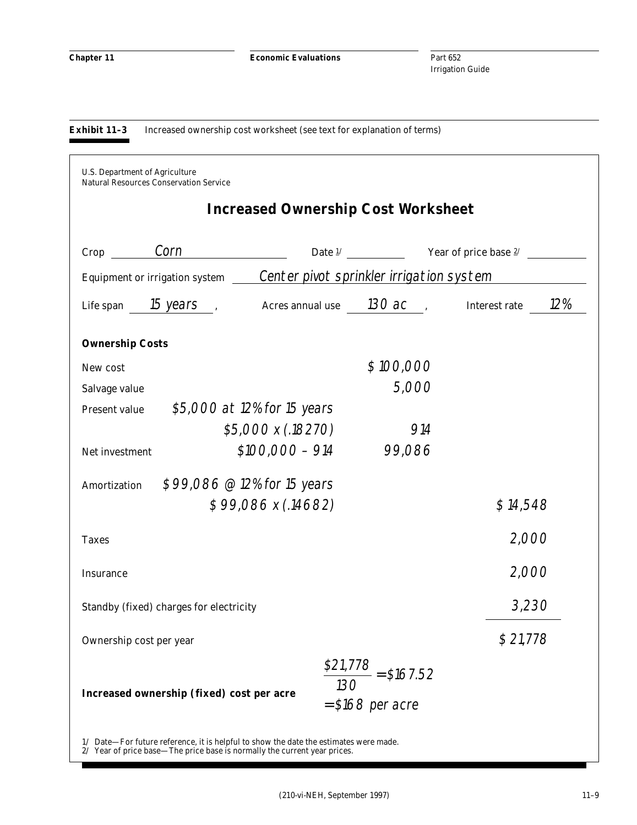**Chapter 11 Economic Evaluations**

Part 652 Irrigation Guide

**Exhibit 11–3** Increased ownership cost worksheet (see text for explanation of terms)

| $Crop \_\_$ Corn       |                                         |                                                                               |           |                                                                                                                             |
|------------------------|-----------------------------------------|-------------------------------------------------------------------------------|-----------|-----------------------------------------------------------------------------------------------------------------------------|
|                        |                                         | Equipment or irrigation system ______Center pivot sprinkler irrigation system |           |                                                                                                                             |
|                        |                                         |                                                                               |           | Life span $\frac{15 \text{ years}}{2\%}$ , Acres annual use $\frac{130 \text{ ac}}{2\%}$ , Interest rate $\frac{12\%}{2\%}$ |
| <b>Ownership Costs</b> |                                         |                                                                               |           |                                                                                                                             |
| New cost               |                                         |                                                                               | \$100,000 |                                                                                                                             |
| Salvage value          |                                         |                                                                               | 5,000     |                                                                                                                             |
| <b>Present value</b>   |                                         | \$5,000 at 12% for 15 years                                                   |           |                                                                                                                             |
|                        |                                         | \$5,000 x (.18270)                                                            | 914       |                                                                                                                             |
| Net investment         |                                         | $$100,000 - 914$                                                              | 99,086    |                                                                                                                             |
| Amortization           |                                         | \$99,086 @ 12% for 15 years                                                   |           |                                                                                                                             |
|                        |                                         | $$99,086 \times (.14682)$                                                     |           | \$14,548                                                                                                                    |
| <b>Taxes</b>           |                                         |                                                                               |           | 2,000                                                                                                                       |
| <b>Insurance</b>       |                                         |                                                                               |           | 2,000                                                                                                                       |
|                        | Standby (fixed) charges for electricity |                                                                               |           | 3,230                                                                                                                       |
|                        | Ownership cost per year                 |                                                                               |           | \$21,778                                                                                                                    |

1/ Date—For future reference, it is helpful to show the date the estimates were made. 2/ Year of price base—The price base is normally the current year prices.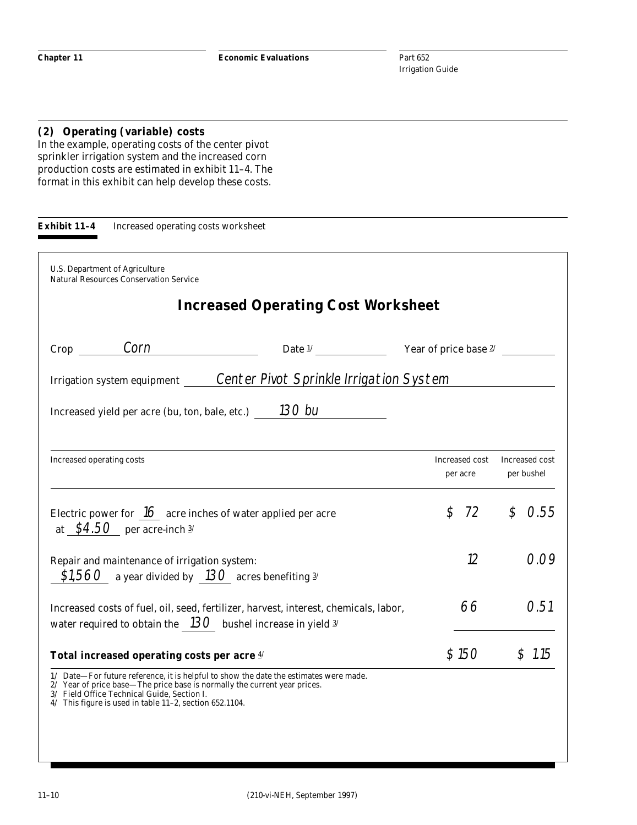# **(2) Operating (variable) costs**

In the example, operating costs of the center pivot sprinkler irrigation system and the increased corn production costs are estimated in exhibit 11–4. The format in this exhibit can help develop these costs.

| U.S. Department of Agriculture<br><b>Natural Resources Conservation Service</b>                                                                                                     |                                                                                                                                                                      |                     |                                             |
|-------------------------------------------------------------------------------------------------------------------------------------------------------------------------------------|----------------------------------------------------------------------------------------------------------------------------------------------------------------------|---------------------|---------------------------------------------|
|                                                                                                                                                                                     | <b>Increased Operating Cost Worksheet</b>                                                                                                                            |                     |                                             |
|                                                                                                                                                                                     | Crop $\frac{\text{Corn}}{\text{Orn}}$ Date $\frac{1}{\text{Orn}}$ Year of price base $\frac{2}{\text{Corn}}$                                                         |                     |                                             |
|                                                                                                                                                                                     | Irrigation system equipment Center Pivot Sprinkle Irrigation System                                                                                                  |                     |                                             |
|                                                                                                                                                                                     | Increased yield per acre (bu, ton, bale, etc.) $130$ bu                                                                                                              |                     |                                             |
| Increased operating costs                                                                                                                                                           |                                                                                                                                                                      | per acre            | Increased cost Increased cost<br>per bushel |
| at $$4.50$ per acre-inch $3/$                                                                                                                                                       | Electric power for $16$ acre inches of water applied per acre                                                                                                        | 72<br>$\mathcal{L}$ | \$0.55                                      |
| Repair and maintenance of irrigation system:<br>\$1,560 a year divided by 130 acres benefiting $\frac{3}{4}$                                                                        |                                                                                                                                                                      | 12                  | 0.09                                        |
|                                                                                                                                                                                     | Increased costs of fuel, oil, seed, fertilizer, harvest, interest, chemicals, labor,<br>water required to obtain the $\_{13}$ bushel increase in yield $\frac{3}{2}$ | 66                  | 0.51                                        |
| Total increased operating costs per acre 4/                                                                                                                                         |                                                                                                                                                                      | \$150               | \$1.15                                      |
| 2/ Year of price base—The price base is normally the current year prices.<br>3/ Field Office Technical Guide, Section I.<br>4/ This figure is used in table 11-2, section 652.1104. | 1/ Date-For future reference, it is helpful to show the date the estimates were made.                                                                                |                     |                                             |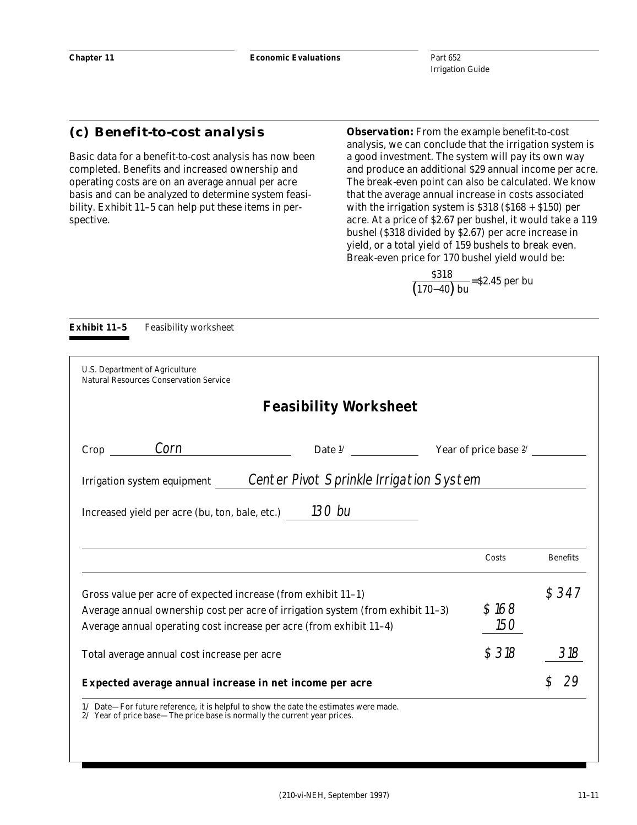# **(c) Benefit-to-cost analysis**

Basic data for a benefit-to-cost analysis has now been completed. Benefits and increased ownership and operating costs are on an average annual per acre basis and can be analyzed to determine system feasibility. Exhibit 11–5 can help put these items in perspective.

*Observation:* From the example benefit-to-cost analysis, we can conclude that the irrigation system is a good investment. The system will pay its own way and produce an additional \$29 annual income per acre. The break-even point can also be calculated. We know that the average annual increase in costs associated with the irrigation system is \$318 (\$168 + \$150) per acre. At a price of \$2.67 per bushel, it would take a 119 bushel (\$318 divided by \$2.67) per acre increase in yield, or a total yield of 159 bushels to break even. Break-even price for 170 bushel yield would be:

 $\frac{\$318}{(170-40) \text{ bu}}$ =\$2.45 per bu

| U.S. Department of Agriculture<br><b>Natural Resources Conservation Service</b>                                                      |                                                                                 |                         |                 |
|--------------------------------------------------------------------------------------------------------------------------------------|---------------------------------------------------------------------------------|-------------------------|-----------------|
|                                                                                                                                      | <b>Feasibility Worksheet</b>                                                    |                         |                 |
| Corn<br>Crop                                                                                                                         | Date $\frac{1}{2}$                                                              | Year of price base $2/$ |                 |
| Irrigation system equipment                                                                                                          | Center Pivot Sprinkle Irrigation System                                         |                         |                 |
|                                                                                                                                      |                                                                                 |                         |                 |
| Increased yield per acre (bu, ton, bale, etc.) $130$ bu                                                                              |                                                                                 |                         |                 |
|                                                                                                                                      |                                                                                 | Costs                   | <b>Benefits</b> |
| Gross value per acre of expected increase (from exhibit 11-1)<br>Average annual operating cost increase per acre (from exhibit 11-4) | Average annual ownership cost per acre of irrigation system (from exhibit 11-3) | \$168<br>150            | \$347           |
| Total average annual cost increase per acre                                                                                          |                                                                                 | \$318                   | 318             |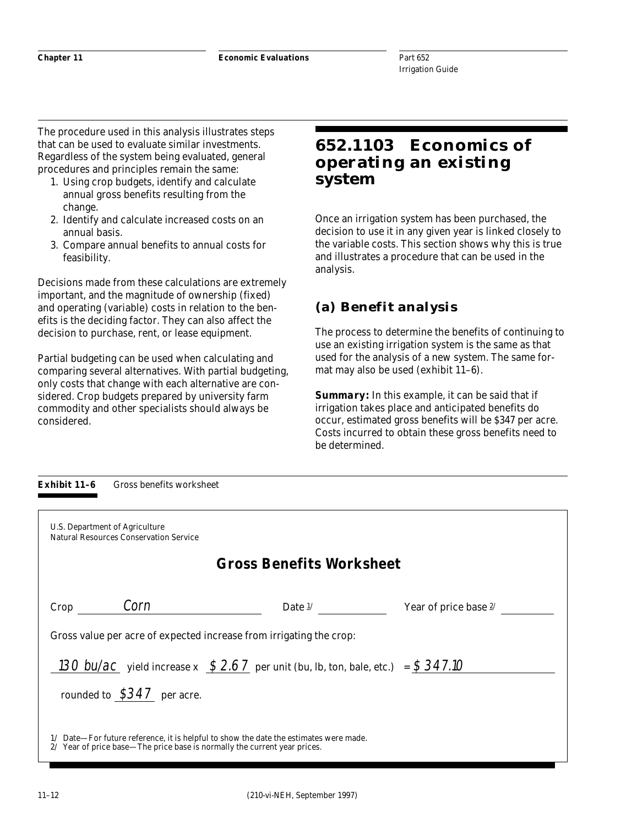The procedure used in this analysis illustrates steps that can be used to evaluate similar investments. Regardless of the system being evaluated, general procedures and principles remain the same:

- 1. Using crop budgets, identify and calculate annual gross benefits resulting from the change.
- 2. Identify and calculate increased costs on an annual basis.
- 3. Compare annual benefits to annual costs for feasibility.

Decisions made from these calculations are extremely important, and the magnitude of ownership (fixed) and operating (variable) costs in relation to the benefits is the deciding factor. They can also affect the decision to purchase, rent, or lease equipment.

Partial budgeting can be used when calculating and comparing several alternatives. With partial budgeting, only costs that change with each alternative are considered. Crop budgets prepared by university farm commodity and other specialists should always be considered.

# **652.1103 Economics of operating an existing system**

Once an irrigation system has been purchased, the decision to use it in any given year is linked closely to the variable costs. This section shows why this is true and illustrates a procedure that can be used in the analysis.

# **(a) Benefit analysis**

The process to determine the benefits of continuing to use an existing irrigation system is the same as that used for the analysis of a new system. The same format may also be used (exhibit 11–6).

*Summary:* In this example, it can be said that if irrigation takes place and anticipated benefits do occur, estimated gross benefits will be \$347 per acre. Costs incurred to obtain these gross benefits need to be determined.

| U.S. Department of Agriculture<br><b>Natural Resources Conservation Service</b> |                                                                                  |                       |
|---------------------------------------------------------------------------------|----------------------------------------------------------------------------------|-----------------------|
|                                                                                 | <b>Gross Benefits Worksheet</b>                                                  |                       |
| Corn<br>Crop                                                                    | Date $1/$                                                                        | Year of price base 2/ |
|                                                                                 | Gross value per acre of expected increase from irrigating the crop:              |                       |
|                                                                                 | 130 bu/ac yield increase x $$2.67$ per unit (bu, lb, ton, bale, etc.) = \$347.10 |                       |
| rounded to $$347$ per acre.                                                     |                                                                                  |                       |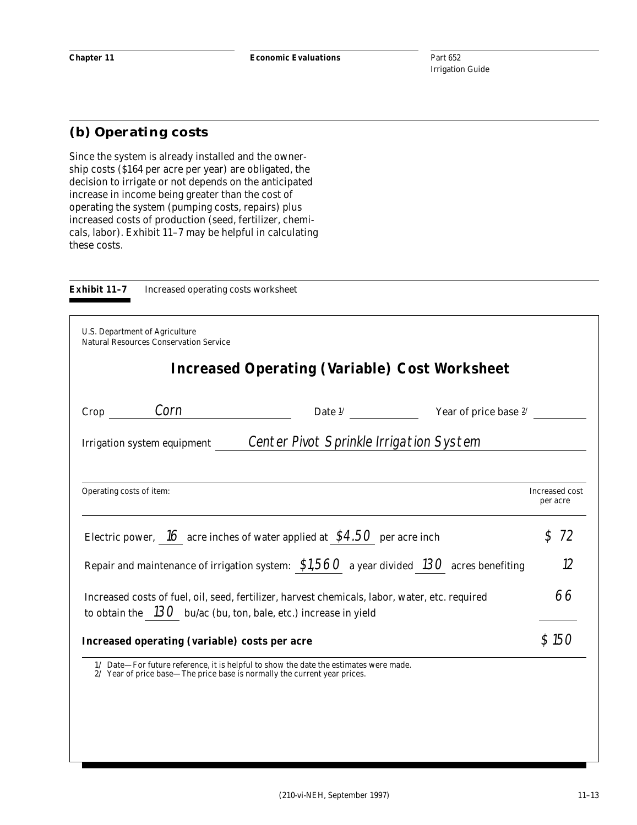# **(b) Operating costs**

Since the system is already installed and the ownership costs (\$164 per acre per year) are obligated, the decision to irrigate or not depends on the anticipated increase in income being greater than the cost of operating the system (pumping costs, repairs) plus increased costs of production (seed, fertilizer, chemicals, labor). Exhibit 11–7 may be helpful in calculating these costs.



**Exhibit 11–7** Increased operating costs worksheet

| <b>U.S. Department of Agriculture</b><br><b>Natural Resources Conservation Service</b>                                                                              |                                                                   |                            |
|---------------------------------------------------------------------------------------------------------------------------------------------------------------------|-------------------------------------------------------------------|----------------------------|
|                                                                                                                                                                     | <b>Increased Operating (Variable) Cost Worksheet</b>              |                            |
| $\mathsf{Crop} \_\_\_$ Corn                                                                                                                                         | Date $\frac{1}{2}$ $\frac{1}{2}$ Year of price base $\frac{2}{2}$ |                            |
| Irrigation system equipment Center Pivot Sprinkle Irrigation System                                                                                                 |                                                                   |                            |
| Operating costs of item:                                                                                                                                            |                                                                   | Increased cost<br>per acre |
| Electric power, $16$ acre inches of water applied at $$4.50$ per acre inch                                                                                          |                                                                   | $\mathcal{S}$<br>72        |
| Repair and maintenance of irrigation system: $$1,560$ a year divided 130 acres benefiting                                                                           |                                                                   | 12                         |
| Increased costs of fuel, oil, seed, fertilizer, harvest chemicals, labor, water, etc. required<br>to obtain the $130$ bu/ac (bu, ton, bale, etc.) increase in yield |                                                                   | 66                         |
| Increased operating (variable) costs per acre                                                                                                                       |                                                                   | \$150                      |
| 1/ Date—For future reference, it is helpful to show the date the estimates were made.<br>2/ Year of price base—The price base is normally the current year prices.  |                                                                   |                            |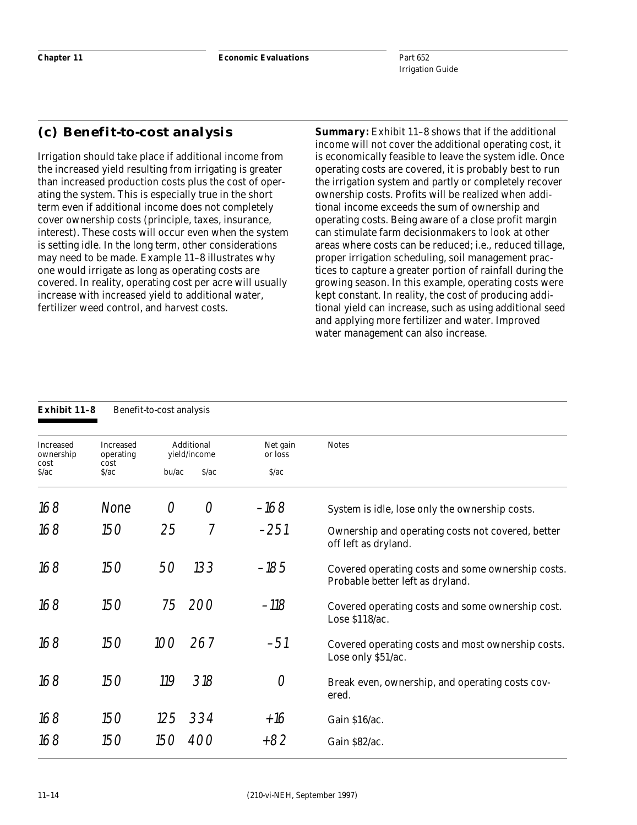# **(c) Benefit-to-cost analysis**

Irrigation should take place if additional income from the increased yield resulting from irrigating is greater than increased production costs plus the cost of operating the system. This is especially true in the short term even if additional income does not completely cover ownership costs (principle, taxes, insurance, interest). These costs will occur even when the system is setting idle. In the long term, other considerations may need to be made. Example 11–8 illustrates why one would irrigate as long as operating costs are covered. In reality, operating cost per acre will usually increase with increased yield to additional water, fertilizer weed control, and harvest costs.

*Summary:* Exhibit 11–8 shows that if the additional income will not cover the additional operating cost, it is economically feasible to leave the system idle. Once operating costs are covered, it is probably best to run the irrigation system and partly or completely recover ownership costs. Profits will be realized when additional income exceeds the sum of ownership and operating costs. Being aware of a close profit margin can stimulate farm decisionmakers to look at other areas where costs can be reduced; i.e., reduced tillage, proper irrigation scheduling, soil management practices to capture a greater portion of rainfall during the growing season. In this example, operating costs were kept constant. In reality, the cost of producing additional yield can increase, such as using additional seed and applying more fertilizer and water. Improved water management can also increase.

| <b>Exhibit 11-8</b>    |                               | Benefit-to-cost analysis |                            |                     |                                                                                       |
|------------------------|-------------------------------|--------------------------|----------------------------|---------------------|---------------------------------------------------------------------------------------|
| Increased<br>ownership | <b>Increased</b><br>operating |                          | Additional<br>yield/income | Net gain<br>or loss | <b>Notes</b>                                                                          |
| cost<br>S/ac           | cost<br>S/ac                  | $b$ u/ac                 | S/ac                       | S/ac                |                                                                                       |
| 168                    | None                          | O                        | O                          | -168                | System is idle, lose only the ownership costs.                                        |
| 168                    | 150                           | 25                       | 7                          | $-251$              | Ownership and operating costs not covered, better<br>off left as dryland.             |
| 168                    | 150                           | 50                       | 133                        | $-185$              | Covered operating costs and some ownership costs.<br>Probable better left as dryland. |
| 168                    | 150                           | 75                       | 200                        | $-118$              | Covered operating costs and some ownership cost.<br>Lose \$118/ac.                    |
| 168                    | 150                           | 100                      | 267                        | $-51$               | Covered operating costs and most ownership costs.<br>Lose only \$51/ac.               |
| 168                    | 150                           | 119                      | 318                        | 0                   | Break even, ownership, and operating costs cov-<br>ered.                              |
| 168                    | 150                           | 125                      | 334                        | $+16$               | Gain \$16/ac.                                                                         |
| 168                    | 150                           | 150                      | 400                        | +82                 | Gain \$82/ac.                                                                         |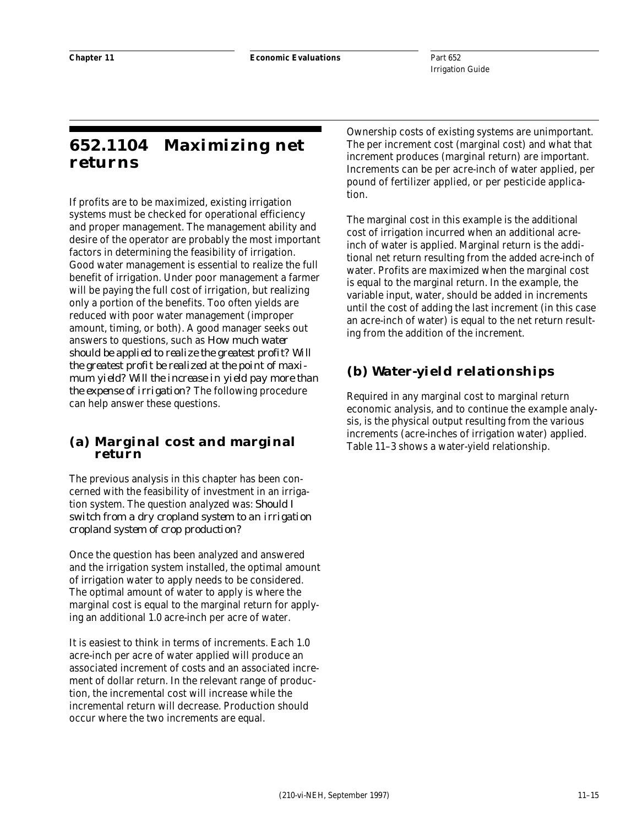# **652.1104 Maximizing net returns**

If profits are to be maximized, existing irrigation systems must be checked for operational efficiency and proper management. The management ability and desire of the operator are probably the most important factors in determining the feasibility of irrigation. Good water management is essential to realize the full benefit of irrigation. Under poor management a farmer will be paying the full cost of irrigation, but realizing only a portion of the benefits. Too often yields are reduced with poor water management (improper amount, timing, or both). A good manager seeks out answers to questions, such as *How much water should be applied to realize the greatest profit? Will the greatest profit be realized at the point of maximum yield? Will the increase in yield pay more than the expense of irrigation?* The following procedure can help answer these questions.

# **(a) Marginal cost and marginal return**

The previous analysis in this chapter has been concerned with the feasibility of investment in an irrigation system. The question analyzed was: *Should I switch from a dry cropland system to an irrigation cropland system of crop production?*

Once the question has been analyzed and answered and the irrigation system installed, the optimal amount of irrigation water to apply needs to be considered. The optimal amount of water to apply is where the marginal cost is equal to the marginal return for applying an additional 1.0 acre-inch per acre of water.

It is easiest to think in terms of increments. Each 1.0 acre-inch per acre of water applied will produce an associated increment of costs and an associated increment of dollar return. In the relevant range of production, the incremental cost will increase while the incremental return will decrease. Production should occur where the two increments are equal.

Ownership costs of existing systems are unimportant. The per increment cost (marginal cost) and what that increment produces (marginal return) are important. Increments can be per acre-inch of water applied, per pound of fertilizer applied, or per pesticide application.

The marginal cost in this example is the additional cost of irrigation incurred when an additional acreinch of water is applied. Marginal return is the additional net return resulting from the added acre-inch of water. Profits are maximized when the marginal cost is equal to the marginal return. In the example, the variable input, water, should be added in increments until the cost of adding the last increment (in this case an acre-inch of water) is equal to the net return resulting from the addition of the increment.

# **(b) Water-yield relationships**

Required in any marginal cost to marginal return economic analysis, and to continue the example analysis, is the physical output resulting from the various increments (acre-inches of irrigation water) applied. Table 11–3 shows a water-yield relationship.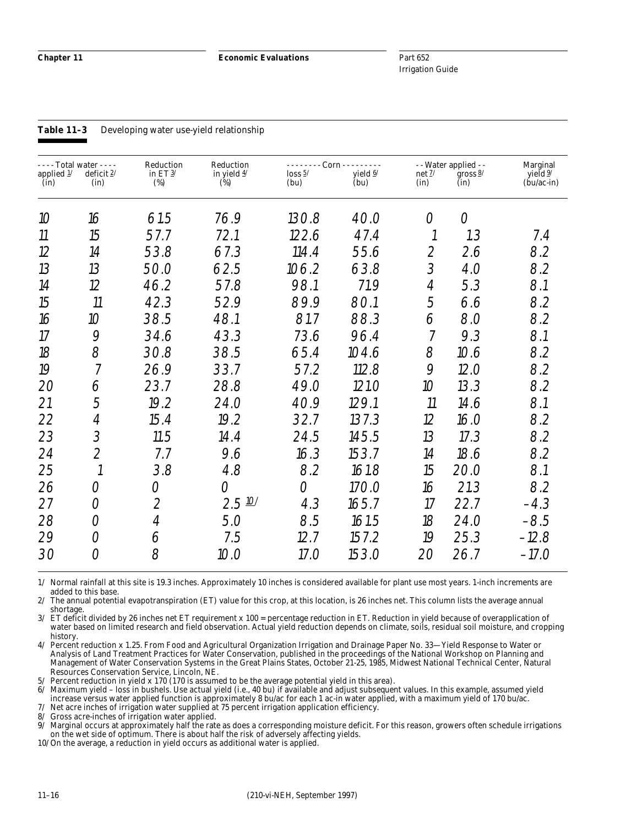#### **Table 11–3** Developing water use-yield relationship

| - - - - Total water - - - -<br>applied $1/$<br>(in) | deficit $2/$<br>(in)          | Reduction<br>in ET $3/$<br>(%) | Reduction<br>in yield $\frac{4}{3}$<br>(%) | -------- Corn ---------<br>loss 5/<br>(bu) | yield 6/<br>(bu) | net 2/<br>(in) | - - Water applied - -<br>gross $\frac{8}{3}$<br>(in) | Marginal<br>yield $\frac{9}{2}$<br>$(\text{bu}/\text{ac-in})$ |
|-----------------------------------------------------|-------------------------------|--------------------------------|--------------------------------------------|--------------------------------------------|------------------|----------------|------------------------------------------------------|---------------------------------------------------------------|
| 10                                                  | 16                            | 61.5                           | 76.9                                       | 130.8                                      | 40.0             | O              | $\overline{O}$                                       |                                                               |
| 11                                                  | 15                            | 57.7                           | 72.1                                       | 122.6                                      | 47.4             |                | 1.3                                                  | 7.4                                                           |
| 12                                                  | 14                            | 53.8                           | 67.3                                       | 114.4                                      | 55.6             | $\overline{2}$ | 2.6                                                  | 8.2                                                           |
| 13                                                  | 13                            | 50.0                           | 62.5                                       | 106.2                                      | 63.8             | 3              | 4.0                                                  | 8.2                                                           |
| 14                                                  | 12                            | 46.2                           | 57.8                                       | 98.1                                       | 71.9             | $\overline{A}$ | 5.3                                                  | 8.1                                                           |
| 15                                                  | 11                            | 42.3                           | 52.9                                       | 89.9                                       | 80.1             | 5              | 6.6                                                  | 8.2                                                           |
| 16                                                  | 10                            | 38.5                           | 48.1                                       | 81.7                                       | 88.3             | 6              | 8.0                                                  | 8.2                                                           |
| 17                                                  | 9                             | 34.6                           | 43.3                                       | 73.6                                       | 96.4             | $\overline{7}$ | 9.3                                                  | 8.1                                                           |
| 18                                                  | 8                             | 30.8                           | 38.5                                       | 65.4                                       | 104.6            | 8              | 10.6                                                 | 8.2                                                           |
| 19                                                  | $\overline{7}$                | 26.9                           | 33.7                                       | 57.2                                       | 112.8            | 9              | 12.0                                                 | 8.2                                                           |
| 20                                                  | 6                             | 23.7                           | 28.8                                       | 49.0                                       | 121.O            | 10             | 13.3                                                 | 8.2                                                           |
| 21                                                  | 5                             | 19.2                           | 24.0                                       | 40.9                                       | 129.1            | 11             | 14.6                                                 | 8.1                                                           |
| 22                                                  | $\ensuremath{\mathnormal{4}}$ | 15.4                           | 19.2                                       | 32.7                                       | 137.3            | 12             | 16.0                                                 | 8.2                                                           |
| 23                                                  | 3                             | 11.5                           | 14.4                                       | 24.5                                       | 145.5            | 13             | 17.3                                                 | 8.2                                                           |
| 24                                                  | $\overline{2}$                | 7.7                            | 9.6                                        | 16.3                                       | 153.7            | 14             | 18.6                                                 | 8.2                                                           |
| 25                                                  | $\overline{\mathfrak{c}}$     | 3.8                            | 4.8                                        | 8.2                                        | 161.8            | 15             | 20.0                                                 | 8.1                                                           |
| 26                                                  | O                             | $\overline{O}$                 | $\bigcirc$                                 | $\bigcirc$                                 | 170.0            | 16             | 21.3                                                 | 8.2                                                           |
| 27                                                  | 0                             | $\overline{2}$                 | $2.5 \frac{10}{1}$                         | 4.3                                        | 165.7            | 17             | 22.7                                                 | $-4.3$                                                        |
| 28                                                  | O                             | $\overline{A}$                 | 5.0                                        | 8.5                                        | 161.5            | 18             | 24.0                                                 | $-8.5$                                                        |
| 29                                                  | O                             | 6                              | 7.5                                        | 12.7                                       | 157.2            | 19             | 25.3                                                 | $-12.8$                                                       |
| 30                                                  | $\bigcirc$                    | 8                              | 10.0                                       | 17.O                                       | 153.0            | 20             | 26.7                                                 | $-17.0$                                                       |

1/ Normal rainfall at this site is 19.3 inches. Approximately 10 inches is considered available for plant use most years. 1-inch increments are added to this base.

2/ The annual potential evapotranspiration (ET) value for this crop, at this location, is 26 inches net. This column lists the average annual shortage.

3/ ET deficit divided by 26 inches net ET requirement x 100 = percentage reduction in ET. Reduction in yield because of overapplication of water based on limited research and field observation. Actual yield reduction depends on climate, soils, residual soil moisture, and cropping history.

4/ Percent reduction x 1.25. From Food and Agricultural Organization Irrigation and Drainage Paper No. 33—Yield Response to Water or Analysis of Land Treatment Practices for Water Conservation, published in the proceedings of the National Workshop on Planning and Management of Water Conservation Systems in the Great Plains States, October 21-25, 1985, Midwest National Technical Center, Natural Resources Conservation Service, Lincoln, NE.

5/ Percent reduction in yield x 170 (170 is assumed to be the average potential yield in this area).

6/ Maximum yield – loss in bushels. Use actual yield (i.e., 40 bu) if available and adjust subsequent values. In this example, assumed yield increase versus water applied function is approximately 8 bu/ac for each 1 ac-in water applied, with a maximum yield of 170 bu/ac.

7/ Net acre inches of irrigation water supplied at 75 percent irrigation application efficiency.

8/ Gross acre-inches of irrigation water applied.

Marginal occurs at approximately half the rate as does a corresponding moisture deficit. For this reason, growers often schedule irrigations on the wet side of optimum. There is about half the risk of adversely affecting yields.

10/ On the average, a reduction in yield occurs as additional water is applied.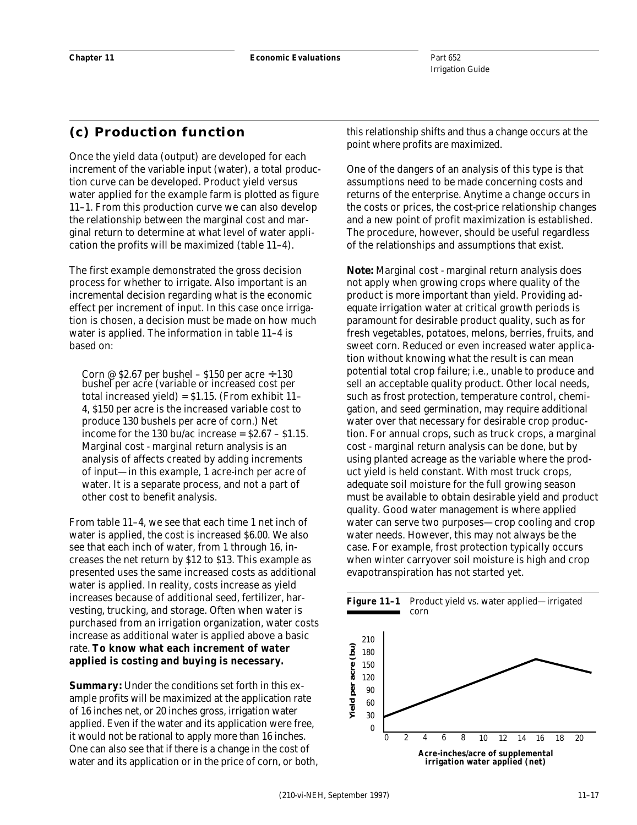# **(c) Production function**

Once the yield data (output) are developed for each increment of the variable input (water), a total production curve can be developed. Product yield versus water applied for the example farm is plotted as figure 11–1. From this production curve we can also develop the relationship between the marginal cost and marginal return to determine at what level of water application the profits will be maximized (table 11–4).

The first example demonstrated the gross decision process for whether to irrigate. Also important is an incremental decision regarding what is the economic effect per increment of input. In this case once irrigation is chosen, a decision must be made on how much water is applied. The information in table 11–4 is based on:

Corn @  $$2.67$  per bushel –  $$150$  per acre  $\div 130$ bushel per acre (variable or increased cost per total increased yield) = \$1.15. (From exhibit 11– 4, \$150 per acre is the increased variable cost to produce 130 bushels per acre of corn.) Net income for the 130 bu/ac increase =  $$2.67 - $1.15$ . Marginal cost - marginal return analysis is an analysis of affects created by adding increments of input—in this example, 1 acre-inch per acre of water. It is a separate process, and not a part of other cost to benefit analysis.

From table 11–4, we see that each time 1 net inch of water is applied, the cost is increased \$6.00. We also see that each inch of water, from 1 through 16, increases the net return by \$12 to \$13. This example as presented uses the same increased costs as additional water is applied. In reality, costs increase as yield increases because of additional seed, fertilizer, harvesting, trucking, and storage. Often when water is purchased from an irrigation organization, water costs increase as additional water is applied above a basic rate. **To know what each increment of water applied is costing and buying is necessary.**

*Summary:* Under the conditions set forth in this example profits will be maximized at the application rate of 16 inches net, or 20 inches gross, irrigation water applied. Even if the water and its application were free, it would not be rational to apply more than 16 inches. One can also see that if there is a change in the cost of water and its application or in the price of corn, or both, this relationship shifts and thus a change occurs at the point where profits are maximized.

One of the dangers of an analysis of this type is that assumptions need to be made concerning costs and returns of the enterprise. Anytime a change occurs in the costs or prices, the cost-price relationship changes and a new point of profit maximization is established. The procedure, however, should be useful regardless of the relationships and assumptions that exist.

*Note:* Marginal cost - marginal return analysis does not apply when growing crops where quality of the product is more important than yield. Providing adequate irrigation water at critical growth periods is paramount for desirable product quality, such as for fresh vegetables, potatoes, melons, berries, fruits, and sweet corn. Reduced or even increased water application without knowing what the result is can mean potential total crop failure; i.e., unable to produce and sell an acceptable quality product. Other local needs, such as frost protection, temperature control, chemigation, and seed germination, may require additional water over that necessary for desirable crop production. For annual crops, such as truck crops, a marginal cost - marginal return analysis can be done, but by using planted acreage as the variable where the product yield is held constant. With most truck crops, adequate soil moisture for the full growing season must be available to obtain desirable yield and product quality. Good water management is where applied water can serve two purposes—crop cooling and crop water needs. However, this may not always be the case. For example, frost protection typically occurs when winter carryover soil moisture is high and crop evapotranspiration has not started yet.

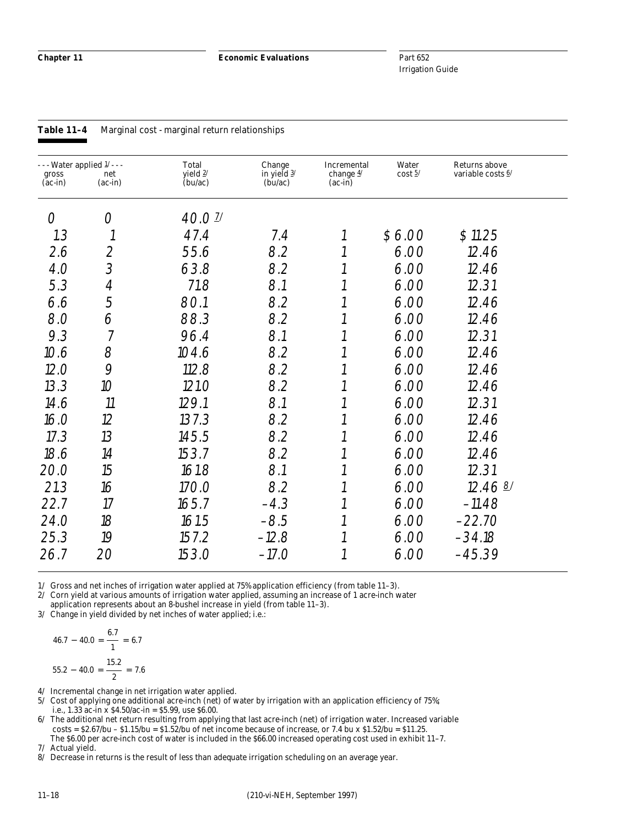**Chapter 11 Economic Evaluations**

Part 652 Irrigation Guide

| gross<br>$(ac-in)$ | - - Water applied $1/$ - - -<br>net<br>$(ac-in)$ | Total<br>yield $2/$<br>(bu/ac) | Change<br>in yield $\frac{3}{2}$<br>(bu/ac) | Incremental<br>change $4/$<br>$(ac-in)$ | Water<br>$\cos t \frac{5}{3}$ | Returns above<br>variable costs 6/ |  |
|--------------------|--------------------------------------------------|--------------------------------|---------------------------------------------|-----------------------------------------|-------------------------------|------------------------------------|--|
| O                  | 0                                                | 40.01                          |                                             |                                         |                               |                                    |  |
| 1.3                | $\mathcal{I}$                                    | 47.4                           | 7.4                                         |                                         | \$6.00                        | \$11.25                            |  |
| 2.6                | $\overline{2}$                                   | 55.6                           | 8.2                                         |                                         | 6.00                          | 12.46                              |  |
| 4.0                | 3                                                | 63.8                           | 8.2                                         |                                         | 6.00                          | 12.46                              |  |
| 5.3                | $\ensuremath{\mathnormal{4}}$                    | 71.8                           | 8.1                                         |                                         | 6.00                          | 12.31                              |  |
| 6.6                | 5                                                | 80.1                           | 8.2                                         |                                         | 6.00                          | 12.46                              |  |
| 8.0                | 6                                                | 88.3                           | 8.2                                         |                                         | 6.00                          | 12.46                              |  |
| 9.3                | $\overline{7}$                                   | 96.4                           | 8.1                                         |                                         | 6.00                          | 12.31                              |  |
| 10.6               | 8                                                | 104.6                          | 8.2                                         |                                         | 6.00                          | 12.46                              |  |
| 12.0               | 9                                                | 112.8                          | 8.2                                         |                                         | 6.00                          | 12.46                              |  |
| 13.3               | 10 <sup>°</sup>                                  | 121.0                          | 8.2                                         |                                         | 6.00                          | 12.46                              |  |
| 14.6               | 11                                               | 129.1                          | 8.1                                         |                                         | 6.00                          | 12.31                              |  |
| 16.0               | 12                                               | 137.3                          | 8.2                                         |                                         | 6.00                          | 12.46                              |  |
| 17.3               | 13                                               | 145.5                          | 8.2                                         |                                         | 6.00                          | 12.46                              |  |
| 18.6               | 14                                               | 153.7                          | 8.2                                         |                                         | 6.00                          | 12.46                              |  |
| 20.0               | 15                                               | 161.8                          | 8.1                                         |                                         | 6.00                          | 12.31                              |  |
| 21.3               | 16                                               | 170.0                          | 8.2                                         |                                         | 6.00                          | 12.46B                             |  |
| 22.7               | 17                                               | 165.7                          | $-4.3$                                      |                                         | 6.00                          | $-11.48$                           |  |
| 24.0               | 18                                               | 161.5                          | $-8.5$                                      |                                         | 6.00                          | $-22.70$                           |  |
| 25.3               | 19                                               | 157.2                          | $-12.8$                                     |                                         | 6.00                          | $-34.18$                           |  |
| 26.7               | 20                                               | 153.0                          | $-17.0$                                     |                                         | 6.00                          | $-45.39$                           |  |

#### **Table 11–4** Marginal cost - marginal return relationships

1/ Gross and net inches of irrigation water applied at 75% application efficiency (from table 11–3).

2/ Corn yield at various amounts of irrigation water applied, assuming an increase of 1 acre-inch water

application represents about an 8-bushel increase in yield (from table 11–3). 3/ Change in yield divided by net inches of water applied; i.e.:

$$
46.7 - 40.0 = \frac{6.7}{1} = 6.7
$$

$$
55.2 - 40.0 = \frac{15.2}{2} = 7.6
$$

4/ Incremental change in net irrigation water applied.

5/ Cost of applying one additional acre-inch (net) of water by irrigation with an application efficiency of 75%; i.e., 1.33 ac-in x  $$4.50/ac-in = $5.99$ , use \$6.00.

6/ The additional net return resulting from applying that last acre-inch (net) of irrigation water. Increased variable costs =  $$2.67/bu - $1.15/bu = $1.52/bu$  of net income because of increase, or 7.4 bu x \$1.52/bu = \$11.25. The \$6.00 per acre-inch cost of water is included in the \$66.00 increased operating cost used in exhibit 11–7.

7/ Actual yield.

8/ Decrease in returns is the result of less than adequate irrigation scheduling on an average year.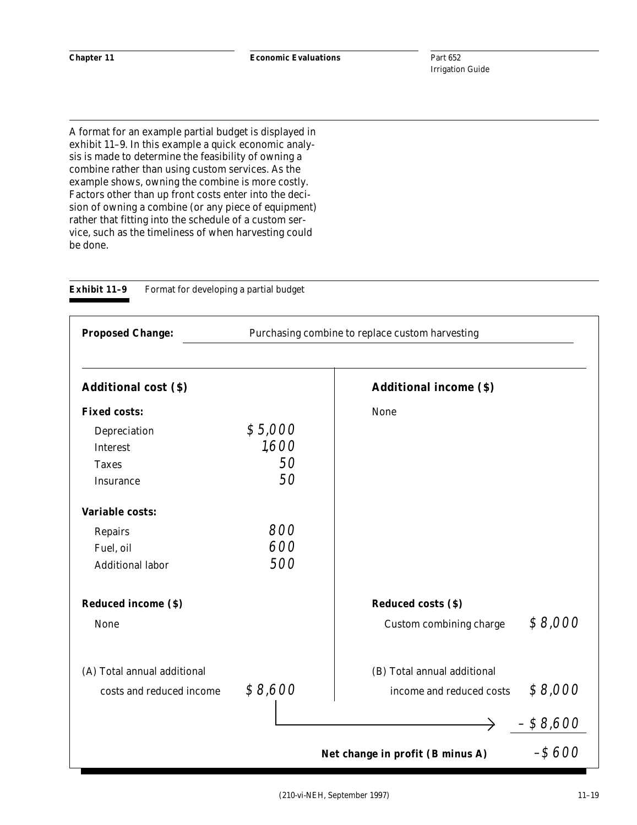A format for an example partial budget is displayed in exhibit 11–9. In this example a quick economic analysis is made to determine the feasibility of owning a combine rather than using custom services. As the example shows, owning the combine is more costly. Factors other than up front costs enter into the decision of owning a combine (or any piece of equipment) rather that fitting into the schedule of a custom service, such as the timeliness of when harvesting could be done.

| <b>Proposed Change:</b>     |         | Purchasing combine to replace custom harvesting |            |
|-----------------------------|---------|-------------------------------------------------|------------|
| <b>Additional cost (\$)</b> |         | <b>Additional income (\$)</b>                   |            |
| <b>Fixed costs:</b>         |         | None                                            |            |
| Depreciation                | \$5,000 |                                                 |            |
| <b>Interest</b>             | 1,600   |                                                 |            |
| <b>Taxes</b>                | 50      |                                                 |            |
| Insurance                   | 50      |                                                 |            |
| <b>Variable costs:</b>      |         |                                                 |            |
| Repairs                     | 800     |                                                 |            |
| Fuel, oil                   | 600     |                                                 |            |
| <b>Additional labor</b>     | 500     |                                                 |            |
| <b>Reduced income (\$)</b>  |         | <b>Reduced costs (\$)</b>                       |            |
| None                        |         | Custom combining charge                         | \$8,000    |
| (A) Total annual additional |         | (B) Total annual additional                     |            |
| costs and reduced income    | \$8,600 | income and reduced costs                        | \$8,000    |
|                             |         |                                                 | $- $8,600$ |
|                             |         | Net change in profit (B minus A)                | $-$ \$600  |

**Exhibit 11-9** Format for developing a partial budget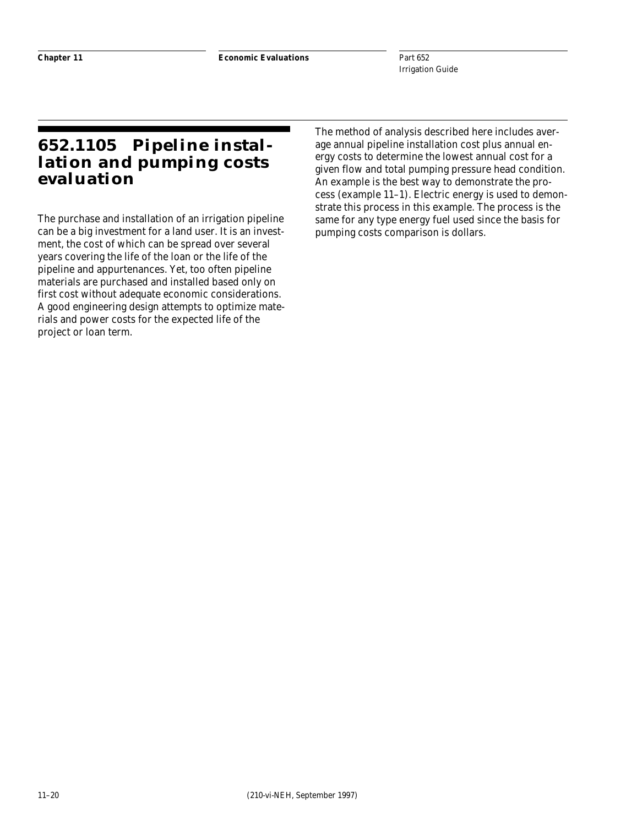# **652.1105 Pipeline installation and pumping costs evaluation**

The purchase and installation of an irrigation pipeline can be a big investment for a land user. It is an investment, the cost of which can be spread over several years covering the life of the loan or the life of the pipeline and appurtenances. Yet, too often pipeline materials are purchased and installed based only on first cost without adequate economic considerations. A good engineering design attempts to optimize materials and power costs for the expected life of the project or loan term.

The method of analysis described here includes average annual pipeline installation cost plus annual energy costs to determine the lowest annual cost for a given flow and total pumping pressure head condition. An example is the best way to demonstrate the process (example 11–1). Electric energy is used to demonstrate this process in this example. The process is the same for any type energy fuel used since the basis for pumping costs comparison is dollars.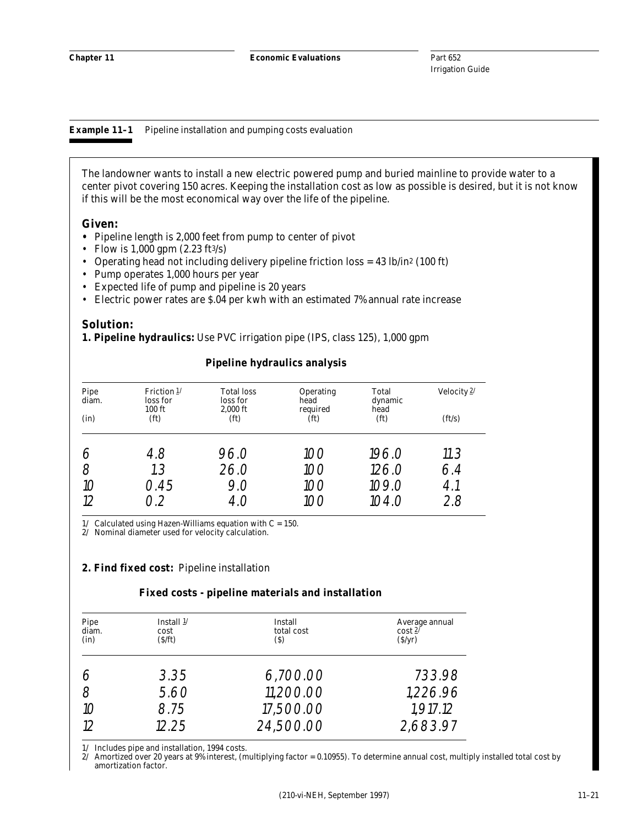**Example 11–1** Pipeline installation and pumping costs evaluation

The landowner wants to install a new electric powered pump and buried mainline to provide water to a center pivot covering 150 acres. Keeping the installation cost as low as possible is desired, but it is not know if this will be the most economical way over the life of the pipeline.

#### **Given:**

- **•** Pipeline length is 2,000 feet from pump to center of pivot
- Flow is 1,000 gpm  $(2.23 \text{ ft}^3/\text{s})$
- Operating head not including delivery pipeline friction loss = 43 lb/in2 (100 ft)
- Pump operates 1,000 hours per year
- Expected life of pump and pipeline is 20 years
- Electric power rates are \$.04 per kwh with an estimated 7% annual rate increase

## **Solution:**

**1. Pipeline hydraulics:** Use PVC irrigation pipe (IPS, class 125), 1,000 gpm

| Pipe<br>diam.<br>(in) | Friction $1/$<br>loss for<br>$100$ ft<br>(f <sub>t</sub> ) | <b>Total loss</b><br>loss for<br>$2,000$ ft<br>(f <sub>t</sub> ) | Operating<br>head<br>required<br>(f <sub>t</sub> ) | Total<br>dynamic<br>head<br>(f <sub>t</sub> ) | Velocity $2/$<br>(ft/s) |
|-----------------------|------------------------------------------------------------|------------------------------------------------------------------|----------------------------------------------------|-----------------------------------------------|-------------------------|
| 6<br>8<br>10          | 4.8<br>1.3<br>0.45                                         | 96.0<br>26.0<br>9.0                                              | 100<br>100<br>100                                  | 196.0<br>126.0<br>109.0                       | 11.3<br>6.4<br>4.1      |
| 12                    | ヿク                                                         | 4.O                                                              | $($ )( )                                           | 104.0                                         | 2.8                     |

## **Pipeline hydraulics analysis**

 $1/$  Calculated using Hazen-Williams equation with  $C = 150.$ 

2/ Nominal diameter used for velocity calculation.

## **2. Find fixed cost:** Pipeline installation

#### **Fixed costs - pipeline materials and installation**

| Pipe<br>diam.<br>(in) | Install $1/$<br>cost<br>$(S/\text{ft})$ | Install<br>total cost<br>(S) | Average annual<br>$\cosh 2^{\gamma}$<br>(S/yr) |
|-----------------------|-----------------------------------------|------------------------------|------------------------------------------------|
|                       | 3.35                                    | 6,700.00                     | 733.98                                         |
|                       | 5.60                                    | 11,200.00                    | 1,226.96                                       |
| 10<br>12              | 8.75<br>12.25                           | 17,500.00<br>24,500.00       | 1,917.12<br>2,683.97                           |

1/ Includes pipe and installation, 1994 costs.

2/ Amortized over 20 years at 9% interest, (multiplying factor =  $0.10955$ ). To determine annual cost, multiply installed total cost by amortization factor.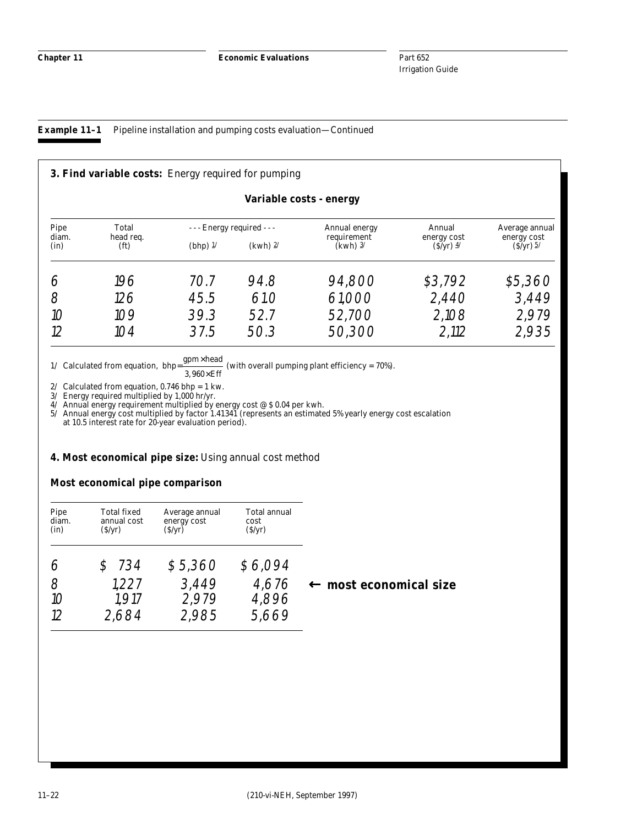# **Example 11–1** Pipeline installation and pumping costs evaluation—Continued

|               |                                | <b>3. Find variable costs:</b> Energy required for pumping |            |                           |                           |                            |
|---------------|--------------------------------|------------------------------------------------------------|------------|---------------------------|---------------------------|----------------------------|
|               |                                |                                                            |            | Variable costs - energy   |                           |                            |
| Pipe          | Total                          | - - - Energy required - - -                                |            | Annual energy             | Annual                    | Average annual             |
| diam.<br>(in) | head req.<br>(f <sub>t</sub> ) | (bhp) $1/$                                                 | $(kwh)$ 2/ | requirement<br>$(kwh)$ 3/ | energy cost<br>$(S/yr)$ 4 | energy cost<br>$(S/yr)$ 5/ |
| ∕             | 196                            | 70.7                                                       | 94.8       | 94,800                    | \$3,792                   | \$5,360                    |
| 8             | 126                            | 45.5                                                       | 61.0       | 61,000                    | 2,440                     | 3,449                      |
| 10            | 109                            | 39.3                                                       | 52.7       | 52,700                    | 2,108                     | 2,979                      |
| 12            | 104                            | 37.5                                                       | 50.3       | 50,300                    | 2,112                     | 2,935                      |

 $\underline{\text{gpm}}\times \text{head}$ 

 $1/$  Calculated from equation, bhp=  $3,960\times$ Eff (with overall pumping plant efficiency =  $70\%$ ).

2/ Calculated from equation, 0.746 bhp = 1 kw.

3/ Energy required multiplied by 1,000 hr/yr.

4/ Annual energy requirement multiplied by energy cost @ \$ 0.04 per kwh.

5/ Annual energy cost multiplied by factor 1.41341 (represents an estimated 5% yearly energy cost escalation at 10.5 interest rate for 20-year evaluation period).

## **4. Most economical pipe size:** Using annual cost method

## **Most economical pipe comparison**

| Pipe<br>diam.<br>(in) | <b>Total fixed</b><br>annual cost<br>(S/yr) | Average annual<br>energy cost<br>(\$/yr) | <b>Total annual</b><br>cost<br>(S/yr) |                                   |
|-----------------------|---------------------------------------------|------------------------------------------|---------------------------------------|-----------------------------------|
|                       | 734                                         | \$5,360                                  | \$6,094                               |                                   |
| 8<br>10<br>12         | 1.227<br>1.917<br>2.684                     | 3,449<br>2,979<br>2.985                  | 4,676<br>4,896<br>5.669               | $\leftarrow$ most economical size |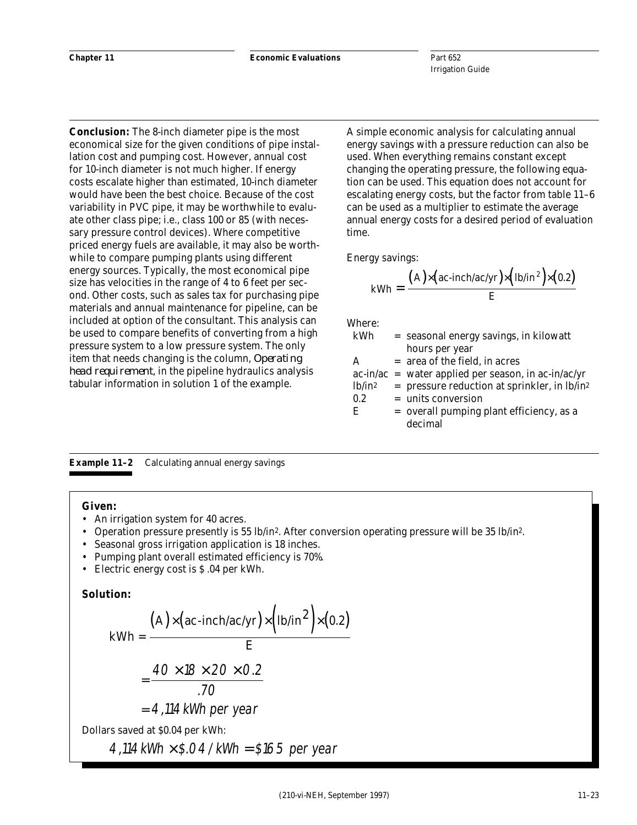**Conclusion:** The 8-inch diameter pipe is the most economical size for the given conditions of pipe installation cost and pumping cost. However, annual cost for 10-inch diameter is not much higher. If energy costs escalate higher than estimated, 10-inch diameter would have been the best choice. Because of the cost variability in PVC pipe, it may be worthwhile to evaluate other class pipe; i.e., class 100 or 85 (with necessary pressure control devices). Where competitive priced energy fuels are available, it may also be worthwhile to compare pumping plants using different energy sources. Typically, the most economical pipe size has velocities in the range of 4 to 6 feet per second. Other costs, such as sales tax for purchasing pipe materials and annual maintenance for pipeline, can be included at option of the consultant. This analysis can be used to compare benefits of converting from a high pressure system to a low pressure system. The only item that needs changing is the column, *Operating head requirement*, in the pipeline hydraulics analysis tabular information in solution 1 of the example.

A simple economic analysis for calculating annual energy savings with a pressure reduction can also be used. When everything remains constant except changing the operating pressure, the following equation can be used. This equation does not account for escalating energy costs, but the factor from table 11–6 can be used as a multiplier to estimate the average annual energy costs for a desired period of evaluation time.

Energy savings:

$$
kWh = \frac{(A) \times (ac\text{-}inch/ac/yr) \times (1b/in^2) \times (0.2)}{E}
$$

Where:

| kWh       | = seasonal energy savings, in kilowatt                     |
|-----------|------------------------------------------------------------|
|           | hours per year                                             |
| A         | $=$ area of the field, in acres                            |
|           | $ac-in/ac$ = water applied per season, in ac-in/ac/yr      |
| $lb/in^2$ | $=$ pressure reduction at sprinkler, in lb/in <sup>2</sup> |
| 0.2       | $=$ units conversion                                       |
| E         | $=$ overall pumping plant efficiency, as a                 |
|           | decimal                                                    |
|           |                                                            |

**Example 11–2** Calculating annual energy savings

#### **Given:**

- An irrigation system for 40 acres.
- Operation pressure presently is 55 lb/in2. After conversion operating pressure will be 35 lb/in2.
- Seasonal gross irrigation application is 18 inches.
- Pumping plant overall estimated efficiency is 70%.
- Electric energy cost is \$ .04 per kWh.

## **Solution:**

$$
kWh = \frac{(A) \times (ac\text{-inch/ac/yr}) \times (lb/in^2) \times (0.2)}{E}
$$

$$
= \frac{40 \times 18 \times 20 \times 0.2}{.70}
$$

$$
= 4.114 \text{ kWh per year}
$$
  
Dollars saved at \$0.04 per kWh:

 $4,114$  kWh  $\times$  \$.04/kWh = \$165 per year